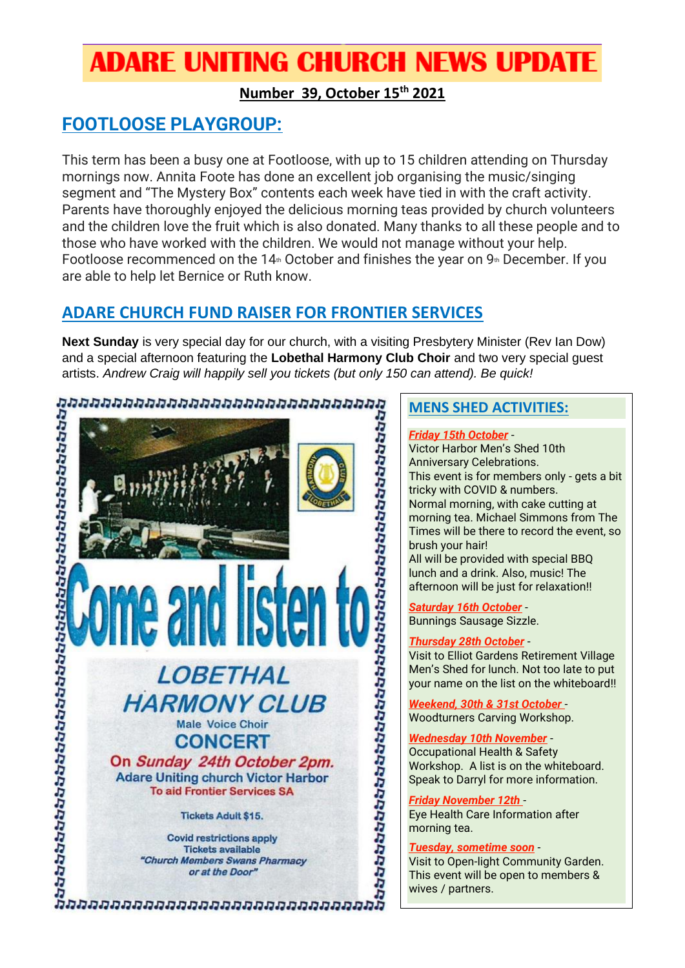# **ADARE UNITING CHURCH NEWS UPDATE**

# **Number 39, October 15th 2021**

# **FOOTLOOSE PLAYGROUP:**

This term has been a busy one at Footloose, with up to 15 children attending on Thursday mornings now. Annita Foote has done an excellent job organising the music/singing segment and "The Mystery Box" contents each week have tied in with the craft activity. Parents have thoroughly enjoyed the delicious morning teas provided by church volunteers and the children love the fruit which is also donated. Many thanks to all these people and to those who have worked with the children. We would not manage without your help. Footloose recommenced on the 14<sup>th</sup> October and finishes the year on  $9<sup>th</sup>$  December. If you are able to help let Bernice or Ruth know.

# **ADARE CHURCH FUND RAISER FOR FRONTIER SERVICES**

**Next Sunday** is very special day for our church, with a visiting Presbytery Minister (Rev Ian Dow) artists. *Andrew Craig will happily sell you tickets (but only 150 can attend). Be quick!* 



# **MENS SHED ACTIVITIES:**

#### *Friday 15th October* -

and a special afternoon featuring the Lober and two very special guest<br>
and the content of the content of the content of the content of the content of the content of the content of the content of the content of the content Victor Harbor Men's Shed 10th Anniversary Celebrations. This event is for members only - gets a bit tricky with COVID & numbers. Normal morning, with cake cutting at morning tea. Michael Simmons from The Times will be there to record the event, so brush your hair! All will be provided with special BBQ

lunch and a drink. Also, music! The afternoon will be just for relaxation!!

*Saturday 16th October* - Bunnings Sausage Sizzle.

### *Thursday 28th October* -

Visit to Elliot Gardens Retirement Village Men's Shed for lunch. Not too late to put your name on the list on the whiteboard!!

*Weekend, 30th & 31st October* - Woodturners Carving Workshop.

*Wednesday 10th November* - Occupational Health & Safety Workshop. A list is on the whiteboard. Speak to Darryl for more information.

*Friday November 12th* - Eye Health Care Information after morning tea.

#### *Tuesday, sometime soon* -

Visit to Open-light Community Garden. This event will be open to members & wives / partners.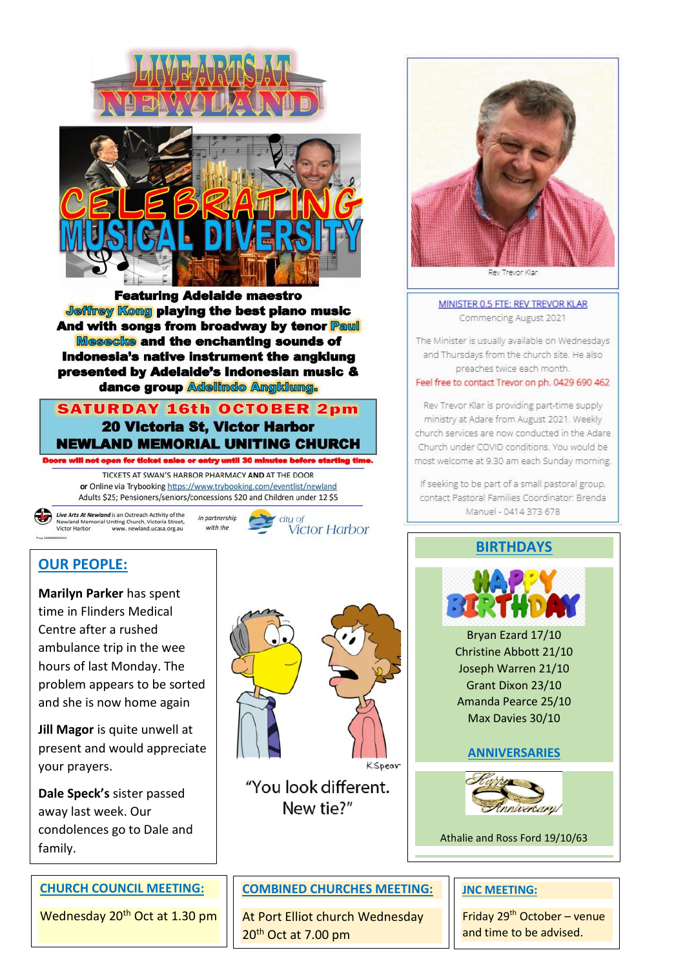



**Jeffrey Kong playing the best plano music And with songs from broadway by tenor Paull Mesecke and the enchanting sounds of** Indonesia's native instrument the angklung presented by Adelaide's Indonesian music & **dance group Adelindo Angklung.** 

# **SATURDAY 16th OCTOBER 2pm** 20 Victoria St, Victor Harbor **NEWLAND MEMORIAL UNITING CHURCH**

will not open for ticket sales or entry until 30 minutes before starting tim TICKETS AT SWAN'S HARBOR PHARMACY AND AT THE DOOR or Online via Trybooking https://www.trybooking.com/eventlist/newland Adults \$25; Pensioners/seniors/concessions \$20 and Children under 12 \$5

**Live Arts At Newland** is an Outreach Activity of the<br>Newland Memorial Uniting Church, Victoria Street,<br>Victor Harbor www.newland.ucasa.org.au

in partnership with the



# **OUR PEOPLE:**

**Marilyn Parker** has spent time in Flinders Medical Centre after a rushed ambulance trip in the wee hours of last Monday. The problem appears to be sorted and she is now home again

**Jill Magor** is quite unwell at present and would appreciate your prayers.

**Dale Speck's** sister passed away last week. Our condolences go to Dale and family.

### **CHURCH COUNCIL MEETING:**

Wednesday 20<sup>th</sup> Oct at 1.30 pm



"You look different. New tie?"



Trevor Klar

#### MINISTER 0.5 FTE: REV TREVOR KLAR Commencing August 2021

The Minister is usually available on Wednesdays and Thursdays from the church site. He also preaches twice each month.

Feel free to contact Trevor on ph. 0429 690 462

Rev Trevor Klar is providing part-time supply ministry at Adare from August 2021. Weekly church services are now conducted in the Adare Church under COVID conditions. You would be most welcome at 9.30 am each Sunday morning.

If seeking to be part of a small pastoral group, contact Pastoral Families Coordinator: Brenda Manuel - 0414 373 678

### **BIRTHDAYS**



Bryan Ezard 17/10 Christine Abbott 21/10 Joseph Warren 21/10 Grant Dixon 23/10 Amanda Pearce 25/10 Max Davies 30/10

### **ANNIVERSARIES**



Athalie and Ross Ford 19/10/63

### **COMBINED CHURCHES MEETING:**

At Port Elliot church Wednesday 20<sup>th</sup> Oct at 7.00 pm

#### **JNC MEETING:**

Friday 29th October – venue and time to be advised.